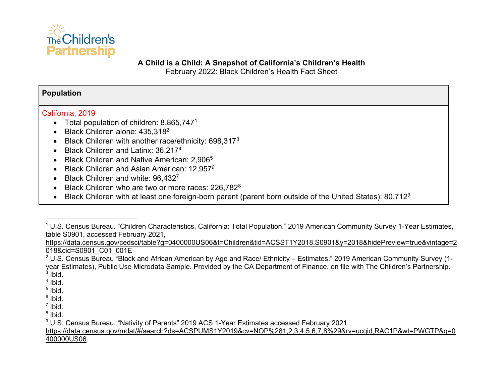

### **A Child is a Child: A Snapshot of California's Children's Health**

February 2022: Black Children's Health Fact Sheet

## **Population**

# California, 2019

- Total population of children:  $8,865,747^1$
- Black Children alone: 435,3182
- Black Children with another race/ethnicity: 698,317<sup>3</sup>
- Black Children and Latinx: 36.2174
- Black Children and Native American: 2,906<sup>5</sup>
- Black Children and Asian American: 12,957<sup>6</sup>
- Black Children and white: 96.4327
- Black Children who are two or more races: 226,782<sup>8</sup>
- Black Children with at least one foreign-born parent (parent born outside of the United States): 80,712<sup>9</sup>

https://data.census.gov/cedsci/table?g=0400000US06&t=Children&tid=ACSST1Y2018.S0901&y=2018&hidePreview=true&vintage=2 018&cid=S0901\_C01\_001E

 $2$  U.S. Census Bureau "Black and African American by Age and Race/ Ethnicity – Estimates." 2019 American Community Survey (1year Estimates), Public Use Microdata Sample. Provided by the CA Department of Finance, on file with The Children's Partnership.  $3$  Ibid.

 $<sup>4</sup>$  Ibid.</sup>

- $<sup>5</sup>$  Ibid.</sup>
- $6$  Ibid.
- $<sup>7</sup>$  Ibid.</sup>

https://data.census.gov/mdat/#/search?ds=ACSPUMS1Y2019&cv=NOP%281,2,3,4,5,6,7,8%29&rv=ucgid,RAC1P&wt=PWGTP&g=0 400000US06.

<sup>&</sup>lt;sup>1</sup> U.S. Census Bureau. "Children Characteristics, California: Total Population." 2019 American Community Survey 1-Year Estimates, table S0901, accessed February 2021,

 $8$  Ibid.

<sup>9</sup> U.S. Census Bureau. "Nativity of Parents" 2019 ACS 1-Year Estimates accessed February 2021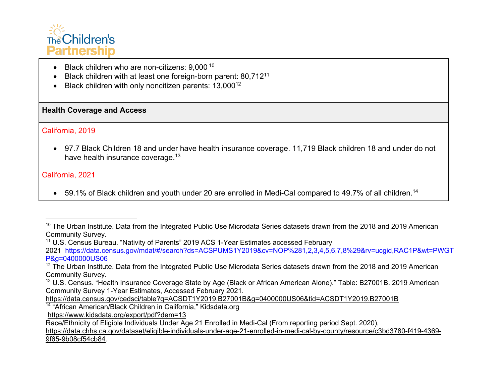

- Black children who are non-citizens: 9,000<sup>10</sup>
- Black children with at least one foreign-born parent: 80,71211
- Black children with only noncitizen parents: 13,000<sup>12</sup>

## **Health Coverage and Access**

## California, 2019

• 97.7 Black Children 18 and under have health insurance coverage. 11,719 Black children 18 and under do not have health insurance coverage.<sup>13</sup>

## California, 2021

• 59.1% of Black children and youth under 20 are enrolled in Medi-Cal compared to 49.7% of all children.<sup>14</sup>

<sup>11</sup> U.S. Census Bureau. "Nativity of Parents" 2019 ACS 1-Year Estimates accessed February

2021 https://data.census.gov/mdat/#/search?ds=ACSPUMS1Y2019&cv=NOP%281,2,3,4,5,6,7,8%29&rv=ucgid,RAC1P&wt=PWGT P&g=0400000US06

https://data.census.gov/cedsci/table?q=ACSDT1Y2019.B27001B&g=0400000US06&tid=ACSDT1Y2019.B27001B

<sup>14</sup> "African American/Black Children in California," Kidsdata.org

https://www.kidsdata.org/export/pdf?dem=13

Race/Ethnicity of Eligible Individuals Under Age 21 Enrolled in Medi-Cal (From reporting period Sept. 2020),

<sup>&</sup>lt;sup>10</sup> The Urban Institute. Data from the Integrated Public Use Microdata Series datasets drawn from the 2018 and 2019 American Community Survey.

 $12$  The Urban Institute. Data from the Integrated Public Use Microdata Series datasets drawn from the 2018 and 2019 American Community Survey.

<sup>&</sup>lt;sup>13</sup> U.S. Census. "Health Insurance Coverage State by Age (Black or African American Alone)." Table: B27001B. 2019 American Community Survey 1-Year Estimates, Accessed February 2021.

https://data.chhs.ca.gov/dataset/eligible-individuals-under-age-21-enrolled-in-medi-cal-by-county/resource/c3bd3780-f419-4369- 9f65-9b08cf54cb84.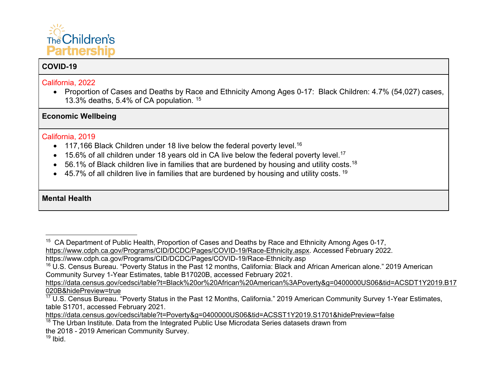

# **COVID-19**

## California, 2022

• Proportion of Cases and Deaths by Race and Ethnicity Among Ages 0-17: Black Children: 4.7% (54,027) cases, 13.3% deaths, 5.4% of CA population. <sup>15</sup>

**Economic Wellbeing** 

## California, 2019

- 117,166 Black Children under 18 live below the federal poverty level.<sup>16</sup>
- 15.6% of all children under 18 years old in CA live below the federal poverty level.<sup>17</sup>
- $\bullet$  56.1% of Black children live in families that are burdened by housing and utility costs.<sup>18</sup>
- $\bullet$  45.7% of all children live in families that are burdened by housing and utility costs. <sup>19</sup>

# **Mental Health**

https://data.census.gov/cedsci/table?t=Black%20or%20African%20American%3APoverty&g=0400000US06&tid=ACSDT1Y2019.B17 020B&hidePreview=true

### $19$  Ibid.

<sup>&</sup>lt;sup>15</sup> CA Department of Public Health, Proportion of Cases and Deaths by Race and Ethnicity Among Ages 0-17, https://www.cdph.ca.gov/Programs/CID/DCDC/Pages/COVID-19/Race-Ethnicity.aspx. Accessed February 2022.

https://www.cdph.ca.gov/Programs/CID/DCDC/Pages/COVID-19/Race-Ethnicity.asp

<sup>16</sup> U.S. Census Bureau. "Poverty Status in the Past 12 months, California: Black and African American alone." 2019 American Community Survey 1-Year Estimates, table B17020B, accessed February 2021.

 $\frac{17}{17}$  U.S. Census Bureau. "Poverty Status in the Past 12 Months, California." 2019 American Community Survey 1-Year Estimates, table S1701, accessed February 2021.

https://data.census.gov/cedsci/table?t=Poverty&g=0400000US06&tid=ACSST1Y2019.S1701&hidePreview=false

 $18$  The Urban Institute. Data from the Integrated Public Use Microdata Series datasets drawn from the 2018 - 2019 American Community Survey.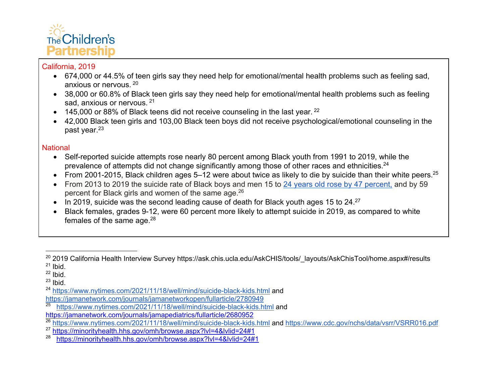

- 674,000 or 44.5% of teen girls say they need help for emotional/mental health problems such as feeling sad, anxious or nervous. <sup>20</sup>
- 38,000 or 60.8% of Black teen girls say they need help for emotional/mental health problems such as feeling sad, anxious or nervous. <sup>21</sup>
- $\bullet$  145,000 or 88% of Black teens did not receive counseling in the last year. <sup>22</sup>
- 42,000 Black teen girls and 103,00 Black teen boys did not receive psychological/emotional counseling in the past year.<sup>23</sup>

# **National**

- Self-reported suicide attempts rose nearly 80 percent among Black youth from 1991 to 2019, while the prevalence of attempts did not change significantly among those of other races and ethnicities.<sup>24</sup>
- From 2001-2015, Black children ages 5–12 were about twice as likely to die by suicide than their white peers.<sup>25</sup>
- From 2013 to 2019 the suicide rate of Black boys and men 15 to 24 years old rose by 47 percent, and by 59 percent for Black girls and women of the same age.<sup>26</sup>
- In 2019, suicide was the second leading cause of death for Black youth ages 15 to  $24.^{27}$
- Black females, grades 9-12, were 60 percent more likely to attempt suicide in 2019, as compared to white females of the same age.<sup>28</sup>

<sup>&</sup>lt;sup>20</sup> 2019 California Health Interview Survey https://ask.chis.ucla.edu/AskCHIS/tools/\_layouts/AskChisTool/home.aspx#/results  $21$  Ibid.

 $22$  Ibid.

 $23$  Ibid.

<sup>24</sup> https://www.nytimes.com/2021/11/18/well/mind/suicide-black-kids.html and

https://jamanetwork.com/journals/jamanetworkopen/fullarticle/2780949<br><sup>25</sup> https://www.pytimes.com/2021/11/18/well/mind/suicide-black-kids.b

<sup>25</sup> https://www.nytimes.com/2021/11/18/well/mind/suicide-black-kids.html and

https://jamanetwork.com/journals/jamapediatrics/fullarticle/2680952

<sup>&</sup>lt;sup>26</sup> https://www.nytimes.com/2021/11/18/well/mind/suicide-black-kids.html and https://www.cdc.gov/nchs/data/vsrr/VSRR016.pdf

<sup>&</sup>lt;sup>27</sup> https://minorityhealth.hhs.gov/omh/browse.aspx?lyl=4&lylid=24#1

<sup>&</sup>lt;sup>28</sup> https://minorityhealth.hhs.gov/omh/browse.aspx?lyl=4&lylid=24#1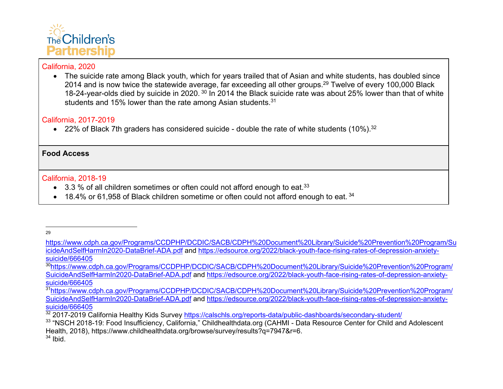

• The suicide rate among Black youth, which for years trailed that of Asian and white students, has doubled since 2014 and is now twice the statewide average, far exceeding all other groups.<sup>29</sup> Twelve of every 100,000 Black 18-24-year-olds died by suicide in 2020. <sup>30</sup> In 2014 the Black suicide rate was about 25% lower than that of white students and 15% lower than the rate among Asian students.<sup>31</sup>

## California, 2017-2019

• 22% of Black 7th graders has considered suicide - double the rate of white students (10%).<sup>32</sup>

## **Food Access**

### California, 2018-19

- 3.3 % of all children sometimes or often could not afford enough to eat.<sup>33</sup>
- 18.4% or 61,958 of Black children sometime or often could not afford enough to eat.  $34$

<sup>29</sup>

https://www.cdph.ca.gov/Programs/CCDPHP/DCDIC/SACB/CDPH%20Document%20Library/Suicide%20Prevention%20Program/Su icideAndSelfHarmIn2020-DataBrief-ADA.pdf and https://edsource.org/2022/black-youth-face-rising-rates-of-depression-anxietysuicide/666405

<sup>30</sup>https://www.cdph.ca.gov/Programs/CCDPHP/DCDIC/SACB/CDPH%20Document%20Library/Suicide%20Prevention%20Program/ SuicideAndSelfHarmIn2020-DataBrief-ADA.pdf and https://edsource.org/2022/black-youth-face-rising-rates-of-depression-anxietysuicide/666405

<sup>&</sup>lt;sup>31</sup>https://www.cdph.ca.gov/Programs/CCDPHP/DCDIC/SACB/CDPH%20Document%20Library/Suicide%20Prevention%20Program/ SuicideAndSelfHarmIn2020-DataBrief-ADA.pdf and https://edsource.org/2022/black-youth-face-rising-rates-of-depression-anxietysuicide/666405

<sup>32 2017-2019</sup> California Healthy Kids Survey https://calschls.org/reports-data/public-dashboards/secondary-student/

<sup>33 &</sup>quot;NSCH 2018-19: Food Insufficiency, California," Childhealthdata.org (CAHMI - Data Resource Center for Child and Adolescent Health, 2018), https://www.childhealthdata.org/browse/survey/results?q=7947&r=6.  $34$  Ibid.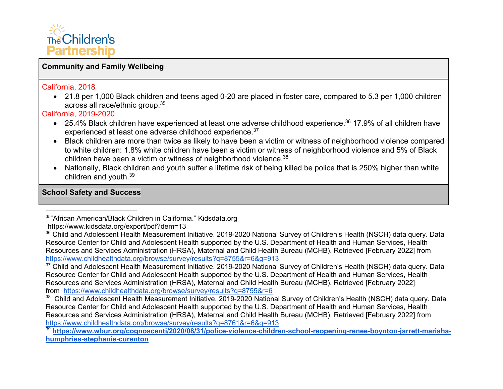

# **Community and Family Wellbeing**

#### California, 2018

• 21.8 per 1,000 Black children and teens aged 0-20 are placed in foster care, compared to 5.3 per 1,000 children across all race/ethnic group.35

California, 2019-2020

- 25.4% Black children have experienced at least one adverse childhood experience.<sup>36</sup> 17.9% of all children have experienced at least one adverse childhood experience.<sup>37</sup>
- Black children are more than twice as likely to have been a victim or witness of neighborhood violence compared to white children: 1.8% white children have been a victim or witness of neighborhood violence and 5% of Black children have been a victim or witness of neighborhood violence.<sup>38</sup>
- Nationally, Black children and youth suffer a lifetime risk of being killed be police that is 250% higher than white children and youth.39

### **School Safety and Success**

<sup>37</sup> Child and Adolescent Health Measurement Initiative. 2019-2020 National Survey of Children's Health (NSCH) data query. Data Resource Center for Child and Adolescent Health supported by the U.S. Department of Health and Human Services, Health Resources and Services Administration (HRSA), Maternal and Child Health Bureau (MCHB). Retrieved [February 2022] from https://www.childhealthdata.org/browse/survey/results?q=8755&r=6<br><sup>38</sup> Child and Adolescent Health Measurement Initiative. 2019-2020 National Survey of Children's Health (NSCH) data query. Data

<sup>35&</sup>quot;African American/Black Children in California." Kidsdata.org

https://www.kidsdata.org/export/pdf?dem=13

<sup>&</sup>lt;sup>36</sup> Child and Adolescent Health Measurement Initiative. 2019-2020 National Survey of Children's Health (NSCH) data query. Data Resource Center for Child and Adolescent Health supported by the U.S. Department of Health and Human Services, Health Resources and Services Administration (HRSA), Maternal and Child Health Bureau (MCHB). Retrieved [February 2022] from https://www.childhealthdata.org/browse/survey/results?q=8755&r=6&g=913

Resource Center for Child and Adolescent Health supported by the U.S. Department of Health and Human Services, Health Resources and Services Administration (HRSA), Maternal and Child Health Bureau (MCHB). Retrieved [February 2022] from https://www.childhealthdata.org/browse/survey/results?q=8761&r=6&g=913

<sup>&</sup>lt;sup>39</sup> https://www.wbur.org/cognoscenti/2020/08/31/police-violence-children-school-reopening-renee-boynton-jarrett-marisha**humphries-stephanie-curenton**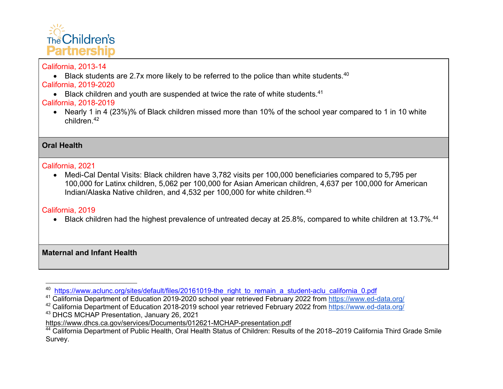

# California, 2013-14

• Black students are 2.7x more likely to be referred to the police than white students.<sup>40</sup>

California, 2019-2020

 $\bullet$  Black children and youth are suspended at twice the rate of white students.<sup>41</sup>

# California, 2018-2019

• Nearly 1 in 4 (23%)% of Black children missed more than 10% of the school year compared to 1 in 10 white children.42

**Oral Health**

# California, 2021

• Medi-Cal Dental Visits: Black children have 3,782 visits per 100,000 beneficiaries compared to 5,795 per 100,000 for Latinx children, 5,062 per 100,000 for Asian American children, 4,637 per 100,000 for American Indian/Alaska Native children, and 4,532 per 100,000 for white children.<sup>43</sup>

# California, 2019

• Black children had the highest prevalence of untreated decay at 25.8%, compared to white children at 13.7%.<sup>44</sup>

**Maternal and Infant Health** 

<sup>&</sup>lt;sup>40</sup> https://www.aclunc.org/sites/default/files/20161019-the\_right\_to\_remain\_a\_student-aclu\_california\_0.pdf

<sup>41</sup> California Department of Education 2019-2020 school year retrieved February 2022 from https://www.ed-data.org/

<sup>&</sup>lt;sup>42</sup> California Department of Education 2018-2019 school year retrieved February 2022 from https://www.ed-data.org/

<sup>43</sup> DHCS MCHAP Presentation, January 26, 2021

https://www.dhcs.ca.gov/services/Documents/012621-MCHAP-presentation.pdf

<sup>44</sup> California Department of Public Health, Oral Health Status of Children: Results of the 2018–2019 California Third Grade Smile Survey.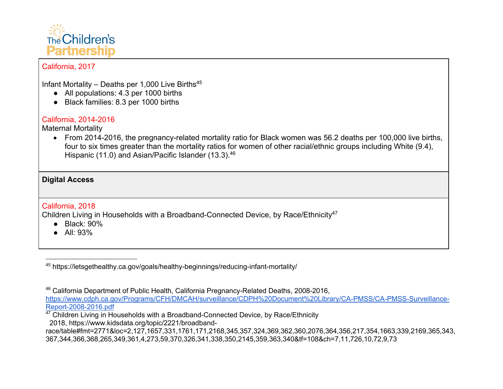

Infant Mortality – Deaths per 1,000 Live Births<sup>45</sup>

- All populations: 4.3 per 1000 births
- Black families: 8.3 per 1000 births

# California, 2014-2016

Maternal Mortality

• From 2014-2016, the pregnancy-related mortality ratio for Black women was 56.2 deaths per 100,000 live births, four to six times greater than the mortality ratios for women of other racial/ethnic groups including White (9.4), Hispanic (11.0) and Asian/Pacific Islander (13.3).<sup>46</sup>

# **Digital Access**

## California, 2018

Children Living in Households with a Broadband-Connected Device, by Race/Ethnicity<sup>47</sup>

- Black: 90%
- All: 93%

<sup>45</sup> https://letsgethealthy.ca.gov/goals/healthy-beginnings/reducing-infant-mortality/

<sup>46</sup> California Department of Public Health, California Pregnancy-Related Deaths, 2008-2016,

https://www.cdph.ca.gov/Programs/CFH/DMCAH/surveillance/CDPH%20Document%20Library/CA-PMSS/CA-PMSS-Surveillance-<br>Report-2008-2016.pdf

 $\frac{47}{12}$  Children Living in Households with a Broadband-Connected Device, by Race/Ethnicity

2018, https://www.kidsdata.org/topic/2221/broadband-

race/table#fmt=2771&loc=2,127,1657,331,1761,171,2168,345,357,324,369,362,360,2076,364,356,217,354,1663,339,2169,365,343, 367,344,366,368,265,349,361,4,273,59,370,326,341,338,350,2145,359,363,340&tf=108&ch=7,11,726,10,72,9,73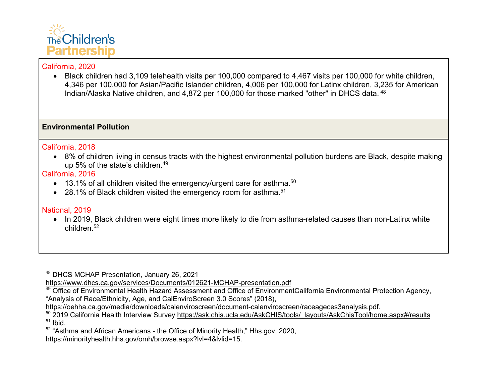

• Black children had 3,109 telehealth visits per 100,000 compared to 4,467 visits per 100,000 for white children, 4,346 per 100,000 for Asian/Pacific Islander children, 4,006 per 100,000 for Latinx children, 3,235 for American Indian/Alaska Native children, and 4,872 per 100,000 for those marked "other" in DHCS data. <sup>48</sup>

## **Environmental Pollution**

### California, 2018

• 8% of children living in census tracts with the highest environmental pollution burdens are Black, despite making up 5% of the state's children.49

## California, 2016

- $\bullet$  13.1% of all children visited the emergency/urgent care for asthma.<sup>50</sup>
- 28.1% of Black children visited the emergency room for asthma.<sup>51</sup>

# National, 2019

• In 2019, Black children were eight times more likely to die from asthma-related causes than non-Latinx white children.52

https://minorityhealth.hhs.gov/omh/browse.aspx?lvl=4&lvlid=15.

<sup>48</sup> DHCS MCHAP Presentation, January 26, 2021

https://www.dhcs.ca.gov/services/Documents/012621-MCHAP-presentation.pdf

<sup>&</sup>lt;sup>49</sup> Office of Environmental Health Hazard Assessment and Office of EnvironmentCalifornia Environmental Protection Agency, "Analysis of Race/Ethnicity, Age, and CalEnviroScreen 3.0 Scores" (2018),

https://oehha.ca.gov/media/downloads/calenviroscreen/document-calenviroscreen/raceageces3analysis.pdf.

<sup>50 2019</sup> California Health Interview Survey https://ask.chis.ucla.edu/AskCHIS/tools/\_layouts/AskChisTool/home.aspx#/results  $51$  Ibid.

<sup>52</sup> "Asthma and African Americans - the Office of Minority Health," Hhs.gov, 2020,